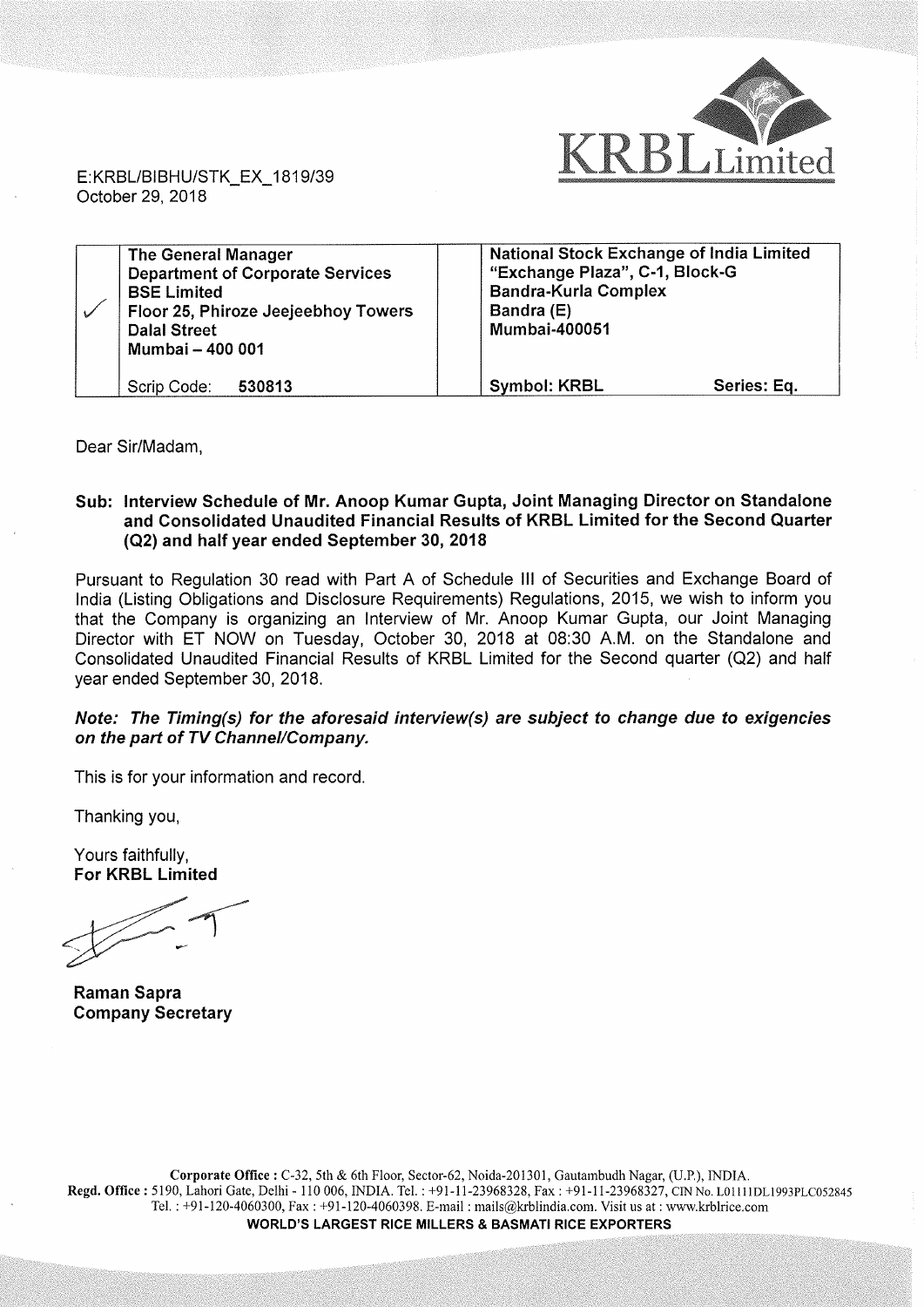

E:KRBL/BlBHU/STK\_\_EX\_1819/39 October 29, 2018

| The General Manager<br><b>Department of Corporate Services</b><br><b>BSE Limited</b><br>Floor 25, Phiroze Jeejeebhoy Towers<br><b>Dalal Street</b><br>Mumbai - 400 001 | <b>National Stock Exchange of India Limited</b><br>"Exchange Plaza", C-1, Block-G<br><b>Bandra-Kurla Complex</b><br>Bandra (E)<br><b>Mumbai-400051</b> |
|------------------------------------------------------------------------------------------------------------------------------------------------------------------------|--------------------------------------------------------------------------------------------------------------------------------------------------------|
| Scrip Code:<br>530813                                                                                                                                                  | <b>Symbol: KRBL</b><br>Series: Eq.                                                                                                                     |

Dear Sir/Madam,

## Sub: Interview Schedule of Mr. Anoop Kumar Gupta, Joint Managing Director on Standalone and Consolidated Unaudited Financial Results of KRBL Limited for the Second Quarter (QZ) and half year ended September 30, 2018

Pursuant to Regulation 30 read with Part A of Schedule III of Securities and Exchange Board of India (Listing Obligations and Disclosure Requirements) Regulations, 2015, we wish to inform you that the Company is organizing an Interview of Mr. Anoop Kumar Gupta, our Joint Managing Director with ET NOW on Tuesday, October 30, 2018 at 08:30 A.M. on the Standalone and Consolidated Unaudited Financial Results of KRBL Limited for the Second quarter (Q2) and half year ended September 30, 2018

## Note: The Timing(s) for the aforesaid interview(s) are subject to change due to exigencies on the part of TV Channel/Company.

This is for your information and record.

Thanking you,

Yours faithfully, For KRBL Limited

v' ited<br>T

Raman Sapra Company Secretary